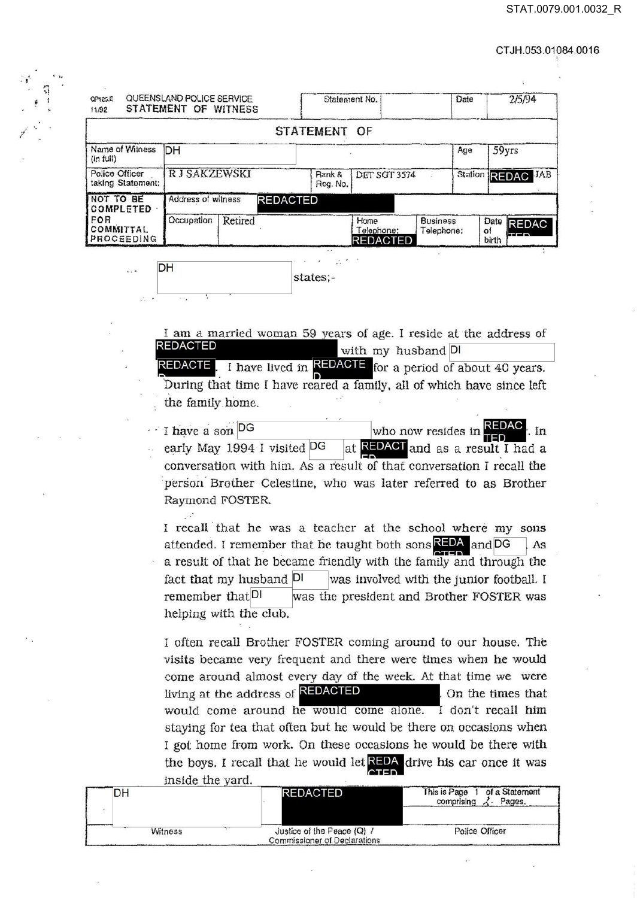CTJH.053.01084.0016

| QUEENSLAND POLICE SERVICE<br>QP125.E<br>STATEMENT OF WITNESS<br>11/92 |                     |         |                 | Statement No.      |                                       |                               | Date |                     | 2/5/94                  |
|-----------------------------------------------------------------------|---------------------|---------|-----------------|--------------------|---------------------------------------|-------------------------------|------|---------------------|-------------------------|
|                                                                       |                     |         |                 | <b>STATEMENT</b>   | OF                                    |                               |      |                     |                         |
| Name of Witness<br>$(\ln \text{full})$                                | <b>DH</b>           |         |                 |                    |                                       |                               | Age  |                     | 59yrs                   |
| Police Officer<br>taking Statement:                                   | <b>RJ SAKZEWSKI</b> |         |                 | Rank &<br>Reg. No. | <b>DET SGT 3574</b>                   |                               |      |                     | Station REDAC JAB       |
| NOT TO BE<br>COMPLETED                                                | Address of witness  |         | <b>REDACTED</b> |                    |                                       |                               |      |                     |                         |
| FOR<br>COMMITTAL<br>PROCEEDING                                        | Occupation          | Retired |                 |                    | Home<br>Telephone:<br><b>REDACTED</b> | <b>Business</b><br>Telephone: |      | Date<br>of<br>birth | <b>REDAC</b><br>$+ - -$ |

|  | . .      |
|--|----------|
|  | states;- |
|  |          |

I am a married woman 59 years of age. I reside at the address of REDACTED with my husband  $DI$ I have lived in **REDACTE** for a period of about 40 years. REDACTE During that time I have reared a family, all of which have since left the family home.

I have a son  $\overline{DG}$  who now resides in  $\overline{REDAC}$ early May 1994 I visited  $DG$  at **REDACT** and as a result I had a conversation with him. As a result of that conversation I recall the :person Brother Celestine, who was later referred to as Brother Raymond FOSTER

I recall that he was a teacher at the school where my sons attended. I remember that he taught both sons  $REDA$  and  $DG$  As a result of that he became friendly with the family and through the fact that my husband  $|D|$  was involved with the junior football. I remember that  $|D|$  was the president and Brother FOSTER was helping with the club.

I often recall Brother FOSTER coming around to our house. The visits became very frequent and there were times when he would come around almost every day of the week, At that time we were living at the address of **REDACTED** On the times that would come around he would come alone. I don't recall him staying for tea that often but he would be there on occasions when I got home from work. On these occasions he would be there with the boys. I recall that he would let  $REDA$  drive his car once it was inside the yard.

| www.c   |                                                            |                                                       |
|---------|------------------------------------------------------------|-------------------------------------------------------|
| DH      | <b>REDACTED</b>                                            | This is Page 1 of a Statement<br>comprising<br>Pages. |
| Witness | Justice of the Peace (Q) /<br>Commissioner of Declarations | Police Officer                                        |